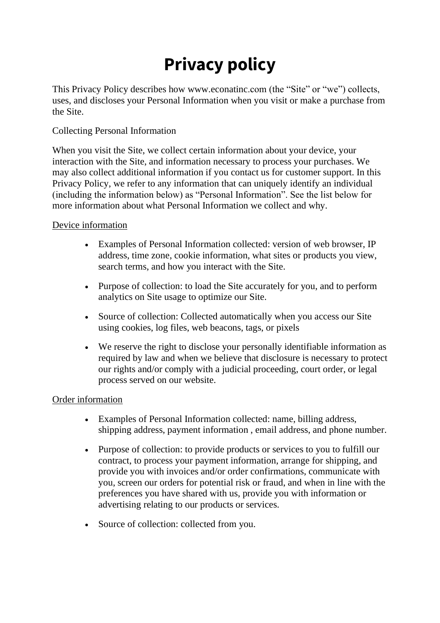# **Privacy policy**

This Privacy Policy describes how www.econatinc.com (the "Site" or "we") collects, uses, and discloses your Personal Information when you visit or make a purchase from the Site.

## Collecting Personal Information

When you visit the Site, we collect certain information about your device, your interaction with the Site, and information necessary to process your purchases. We may also collect additional information if you contact us for customer support. In this Privacy Policy, we refer to any information that can uniquely identify an individual (including the information below) as "Personal Information". See the list below for more information about what Personal Information we collect and why.

## Device information

- Examples of Personal Information collected: version of web browser, IP address, time zone, cookie information, what sites or products you view, search terms, and how you interact with the Site.
- Purpose of collection: to load the Site accurately for you, and to perform analytics on Site usage to optimize our Site.
- Source of collection: Collected automatically when you access our Site using cookies, log files, web beacons, tags, or pixels
- We reserve the right to disclose your personally identifiable information as required by law and when we believe that disclosure is necessary to protect our rights and/or comply with a judicial proceeding, court order, or legal process served on our website.

## Order information

- Examples of Personal Information collected: name, billing address, shipping address, payment information , email address, and phone number.
- Purpose of collection: to provide products or services to you to fulfill our contract, to process your payment information, arrange for shipping, and provide you with invoices and/or order confirmations, communicate with you, screen our orders for potential risk or fraud, and when in line with the preferences you have shared with us, provide you with information or advertising relating to our products or services.
- Source of collection: collected from you.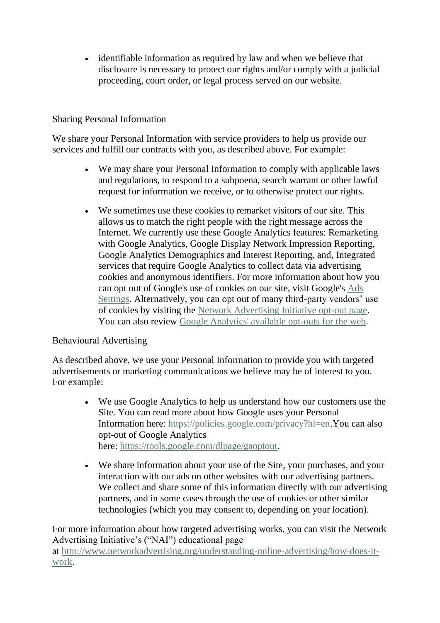• identifiable information as required by law and when we believe that disclosure is necessary to protect our rights and/or comply with a judicial proceeding, court order, or legal process served on our website.

## Sharing Personal Information

We share your Personal Information with service providers to help us provide our services and fulfill our contracts with you, as described above. For example:

- We may share your Personal Information to comply with applicable laws and regulations, to respond to a subpoena, search warrant or other lawful request for information we receive, or to otherwise protect our rights.
- We sometimes use these cookies to remarket visitors of our site. This allows us to match the right people with the right message across the Internet. We currently use these Google Analytics features: Remarketing with Google Analytics, Google Display Network Impression Reporting, Google Analytics Demographics and Interest Reporting, and, Integrated services that require Google Analytics to collect data via advertising cookies and anonymous identifiers. For more information about how you can opt out of Google's use of cookies on our site, visit Google's [Ads](http://www.google.com/settings/ads)  [Settings.](http://www.google.com/settings/ads) Alternatively, you can opt out of many third-party vendors' use of cookies by visiting the [Network Advertising Initiative opt-out page.](http://www.networkadvertising.org/managing/opt_out.asp) You can also review [Google Analytics' available opt-outs for the web.](https://tools.google.com/dlpage/gaoptout/)

## Behavioural Advertising

As described above, we use your Personal Information to provide you with targeted advertisements or marketing communications we believe may be of interest to you. For example:

- We use Google Analytics to help us understand how our customers use the Site. You can read more about how Google uses your Personal Information here: [https://policies.google.com/privacy?hl=en.](https://policies.google.com/privacy?hl=en)You can also opt-out of Google Analytics here: [https://tools.google.com/dlpage/gaoptout.](https://tools.google.com/dlpage/gaoptout)
- We share information about your use of the Site, your purchases, and your interaction with our ads on other websites with our advertising partners. We collect and share some of this information directly with our advertising partners, and in some cases through the use of cookies or other similar technologies (which you may consent to, depending on your location).

For more information about how targeted advertising works, you can visit the Network Advertising Initiative's ("NAI") educational page

at [http://www.networkadvertising.org/understanding-online-advertising/how-does-it](http://www.networkadvertising.org/understanding-online-advertising/how-does-it-work)[work.](http://www.networkadvertising.org/understanding-online-advertising/how-does-it-work)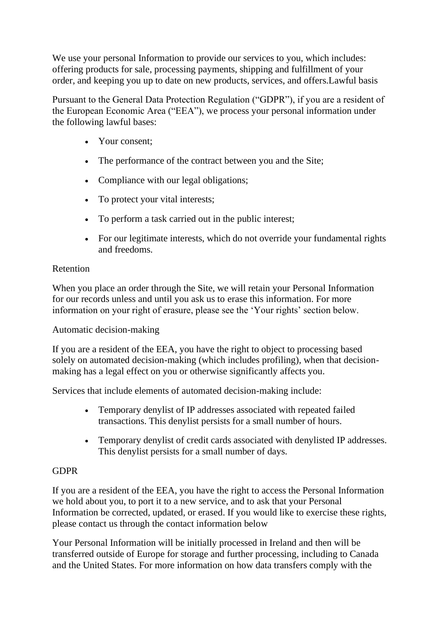We use your personal Information to provide our services to you, which includes: offering products for sale, processing payments, shipping and fulfillment of your order, and keeping you up to date on new products, services, and offers.Lawful basis

Pursuant to the General Data Protection Regulation ("GDPR"), if you are a resident of the European Economic Area ("EEA"), we process your personal information under the following lawful bases:

- Your consent;
- The performance of the contract between you and the Site;
- Compliance with our legal obligations;
- To protect your vital interests;
- To perform a task carried out in the public interest;
- For our legitimate interests, which do not override your fundamental rights and freedoms.

# Retention

When you place an order through the Site, we will retain your Personal Information for our records unless and until you ask us to erase this information. For more information on your right of erasure, please see the 'Your rights' section below.

Automatic decision-making

If you are a resident of the EEA, you have the right to object to processing based solely on automated decision-making (which includes profiling), when that decisionmaking has a legal effect on you or otherwise significantly affects you.

Services that include elements of automated decision-making include:

- Temporary denylist of IP addresses associated with repeated failed transactions. This denylist persists for a small number of hours.
- Temporary denylist of credit cards associated with denylisted IP addresses. This denylist persists for a small number of days.

# GDPR

If you are a resident of the EEA, you have the right to access the Personal Information we hold about you, to port it to a new service, and to ask that your Personal Information be corrected, updated, or erased. If you would like to exercise these rights, please contact us through the contact information below

Your Personal Information will be initially processed in Ireland and then will be transferred outside of Europe for storage and further processing, including to Canada and the United States. For more information on how data transfers comply with the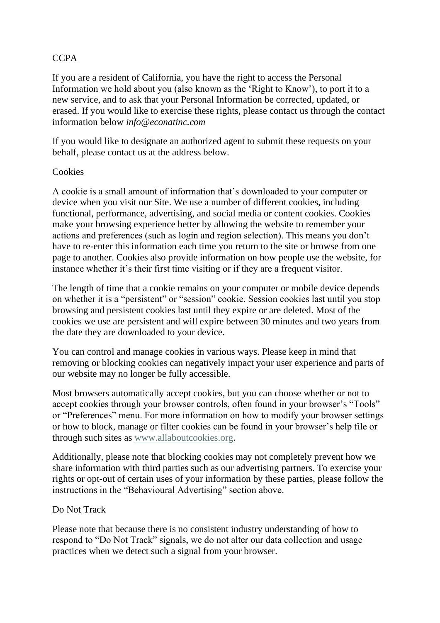## CCPA

If you are a resident of California, you have the right to access the Personal Information we hold about you (also known as the 'Right to Know'), to port it to a new service, and to ask that your Personal Information be corrected, updated, or erased. If you would like to exercise these rights, please contact us through the contact information below *info@econatinc.com*

If you would like to designate an authorized agent to submit these requests on your behalf, please contact us at the address below.

## **Cookies**

A cookie is a small amount of information that's downloaded to your computer or device when you visit our Site. We use a number of different cookies, including functional, performance, advertising, and social media or content cookies. Cookies make your browsing experience better by allowing the website to remember your actions and preferences (such as login and region selection). This means you don't have to re-enter this information each time you return to the site or browse from one page to another. Cookies also provide information on how people use the website, for instance whether it's their first time visiting or if they are a frequent visitor.

The length of time that a cookie remains on your computer or mobile device depends on whether it is a "persistent" or "session" cookie. Session cookies last until you stop browsing and persistent cookies last until they expire or are deleted. Most of the cookies we use are persistent and will expire between 30 minutes and two years from the date they are downloaded to your device.

You can control and manage cookies in various ways. Please keep in mind that removing or blocking cookies can negatively impact your user experience and parts of our website may no longer be fully accessible.

Most browsers automatically accept cookies, but you can choose whether or not to accept cookies through your browser controls, often found in your browser's "Tools" or "Preferences" menu. For more information on how to modify your browser settings or how to block, manage or filter cookies can be found in your browser's help file or through such sites as [www.allaboutcookies.org.](https://www.ufoheaters.com/policies/www.allaboutcookies.org)

Additionally, please note that blocking cookies may not completely prevent how we share information with third parties such as our advertising partners. To exercise your rights or opt-out of certain uses of your information by these parties, please follow the instructions in the "Behavioural Advertising" section above.

## Do Not Track

Please note that because there is no consistent industry understanding of how to respond to "Do Not Track" signals, we do not alter our data collection and usage practices when we detect such a signal from your browser.